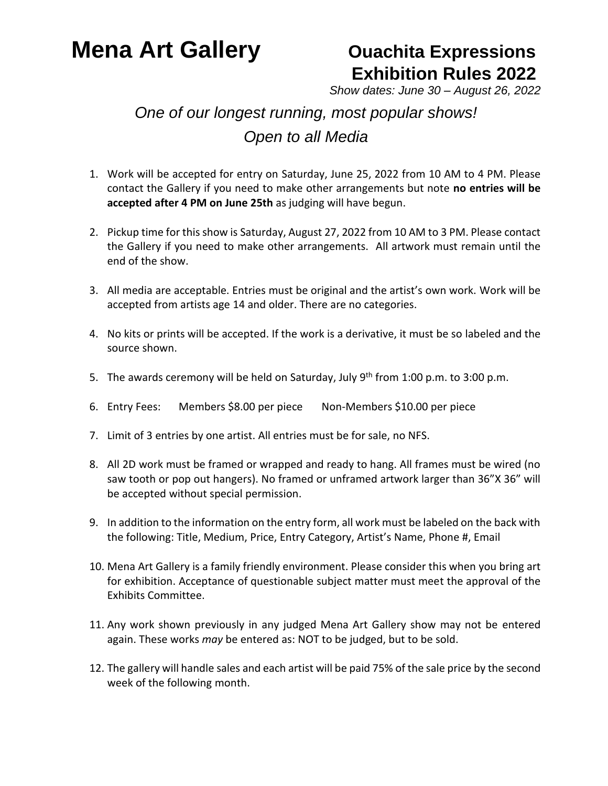### **Mena Art Gallery <b>Conservance Constructs** Cuachita Expressions

# **Exhibition Rules 2022**

*Show dates: June 30 – August 26, 2022*

#### *One of our longest running, most popular shows! Open to all Media*

- 1. Work will be accepted for entry on Saturday, June 25, 2022 from 10 AM to 4 PM. Please contact the Gallery if you need to make other arrangements but note **no entries will be accepted after 4 PM on June 25th** as judging will have begun.
- 2. Pickup time for this show is Saturday, August 27, 2022 from 10 AM to 3 PM. Please contact the Gallery if you need to make other arrangements. All artwork must remain until the end of the show.
- 3. All media are acceptable. Entries must be original and the artist's own work. Work will be accepted from artists age 14 and older. There are no categories.
- 4. No kits or prints will be accepted. If the work is a derivative, it must be so labeled and the source shown.
- 5. The awards ceremony will be held on Saturday, July 9<sup>th</sup> from 1:00 p.m. to 3:00 p.m.
- 6. Entry Fees: Members \$8.00 per piece Non-Members \$10.00 per piece
- 7. Limit of 3 entries by one artist. All entries must be for sale, no NFS.
- 8. All 2D work must be framed or wrapped and ready to hang. All frames must be wired (no saw tooth or pop out hangers). No framed or unframed artwork larger than 36"X 36" will be accepted without special permission.
- 9. In addition to the information on the entry form, all work must be labeled on the back with the following: Title, Medium, Price, Entry Category, Artist's Name, Phone #, Email
- 10. Mena Art Gallery is a family friendly environment. Please consider this when you bring art for exhibition. Acceptance of questionable subject matter must meet the approval of the Exhibits Committee.
- 11. Any work shown previously in any judged Mena Art Gallery show may not be entered again. These works *may* be entered as: NOT to be judged, but to be sold.
- 12. The gallery will handle sales and each artist will be paid 75% of the sale price by the second week of the following month.